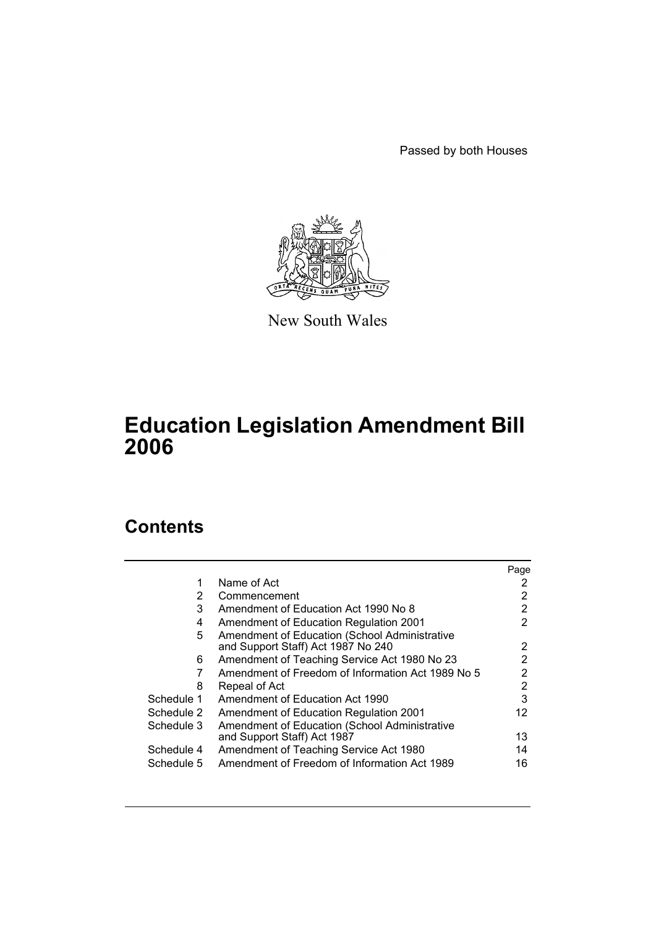Passed by both Houses



New South Wales

# **Education Legislation Amendment Bill 2006**

# **Contents**

|            |                                                                                     | Page |
|------------|-------------------------------------------------------------------------------------|------|
| 1          | Name of Act                                                                         |      |
| 2          | Commencement                                                                        | 2    |
| 3          | Amendment of Education Act 1990 No 8                                                | 2    |
| 4          | <b>Amendment of Education Regulation 2001</b>                                       | 2    |
| 5          | Amendment of Education (School Administrative<br>and Support Staff) Act 1987 No 240 | 2    |
| 6          | Amendment of Teaching Service Act 1980 No 23                                        | 2    |
|            | Amendment of Freedom of Information Act 1989 No 5                                   | 2    |
| 8          | Repeal of Act                                                                       | 2    |
| Schedule 1 | Amendment of Education Act 1990                                                     | 3    |
| Schedule 2 | Amendment of Education Regulation 2001                                              | 12   |
| Schedule 3 | Amendment of Education (School Administrative                                       |      |
|            | and Support Staff) Act 1987                                                         | 13   |
| Schedule 4 | Amendment of Teaching Service Act 1980                                              | 14   |
| Schedule 5 | Amendment of Freedom of Information Act 1989                                        | 16   |
|            |                                                                                     |      |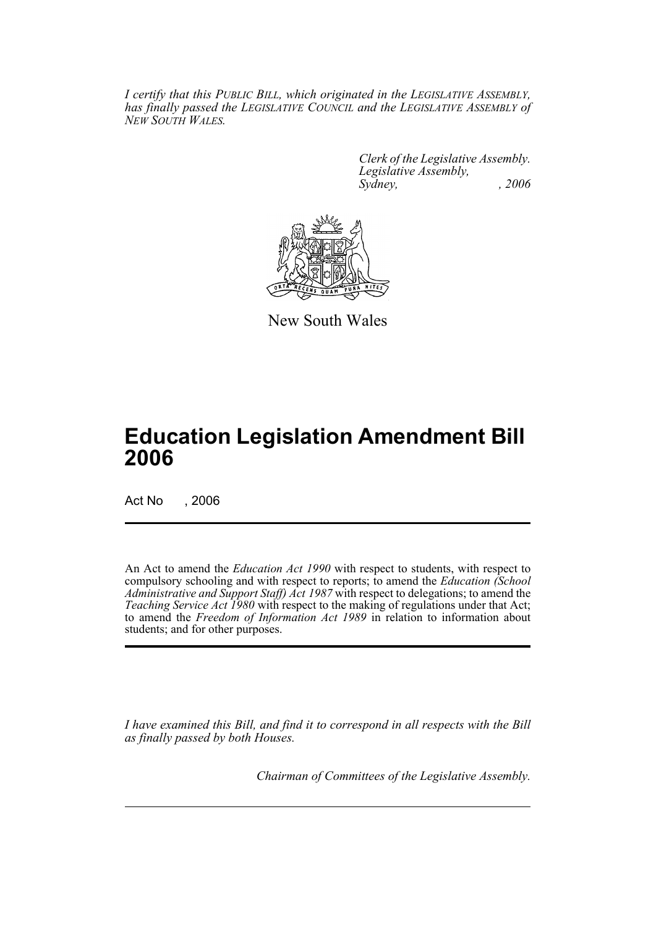*I certify that this PUBLIC BILL, which originated in the LEGISLATIVE ASSEMBLY, has finally passed the LEGISLATIVE COUNCIL and the LEGISLATIVE ASSEMBLY of NEW SOUTH WALES.*

> *Clerk of the Legislative Assembly. Legislative Assembly, Sydney, , 2006*



New South Wales

# **Education Legislation Amendment Bill 2006**

Act No , 2006

An Act to amend the *Education Act 1990* with respect to students, with respect to compulsory schooling and with respect to reports; to amend the *Education (School Administrative and Support Staff) Act 1987* with respect to delegations; to amend the *Teaching Service Act 1980* with respect to the making of regulations under that Act; to amend the *Freedom of Information Act 1989* in relation to information about students; and for other purposes.

*I have examined this Bill, and find it to correspond in all respects with the Bill as finally passed by both Houses.*

*Chairman of Committees of the Legislative Assembly.*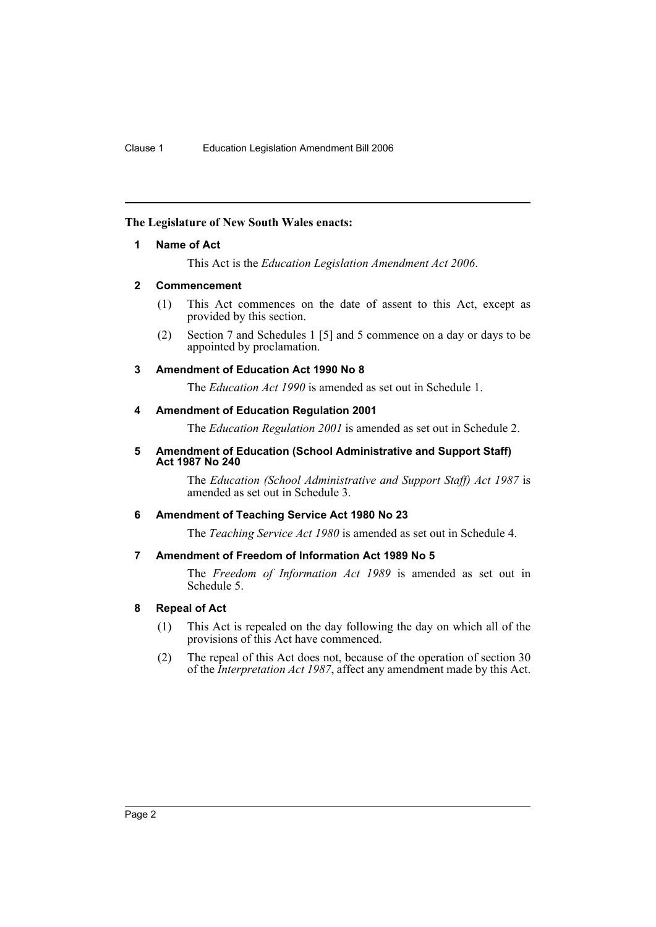#### <span id="page-2-0"></span>**The Legislature of New South Wales enacts:**

#### **1 Name of Act**

This Act is the *Education Legislation Amendment Act 2006*.

#### <span id="page-2-1"></span>**2 Commencement**

- (1) This Act commences on the date of assent to this Act, except as provided by this section.
- (2) Section 7 and Schedules 1 [5] and 5 commence on a day or days to be appointed by proclamation.

#### <span id="page-2-2"></span>**3 Amendment of Education Act 1990 No 8**

The *Education Act 1990* is amended as set out in Schedule 1.

#### <span id="page-2-3"></span>**4 Amendment of Education Regulation 2001**

The *Education Regulation 2001* is amended as set out in Schedule 2.

#### <span id="page-2-4"></span>**5 Amendment of Education (School Administrative and Support Staff) Act 1987 No 240**

The *Education (School Administrative and Support Staff) Act 1987* is amended as set out in Schedule 3.

### <span id="page-2-5"></span>**6 Amendment of Teaching Service Act 1980 No 23**

The *Teaching Service Act 1980* is amended as set out in Schedule 4.

### <span id="page-2-6"></span>**7 Amendment of Freedom of Information Act 1989 No 5**

The *Freedom of Information Act 1989* is amended as set out in Schedule 5.

### <span id="page-2-7"></span>**8 Repeal of Act**

- (1) This Act is repealed on the day following the day on which all of the provisions of this Act have commenced.
- (2) The repeal of this Act does not, because of the operation of section 30 of the *Interpretation Act 1987*, affect any amendment made by this Act.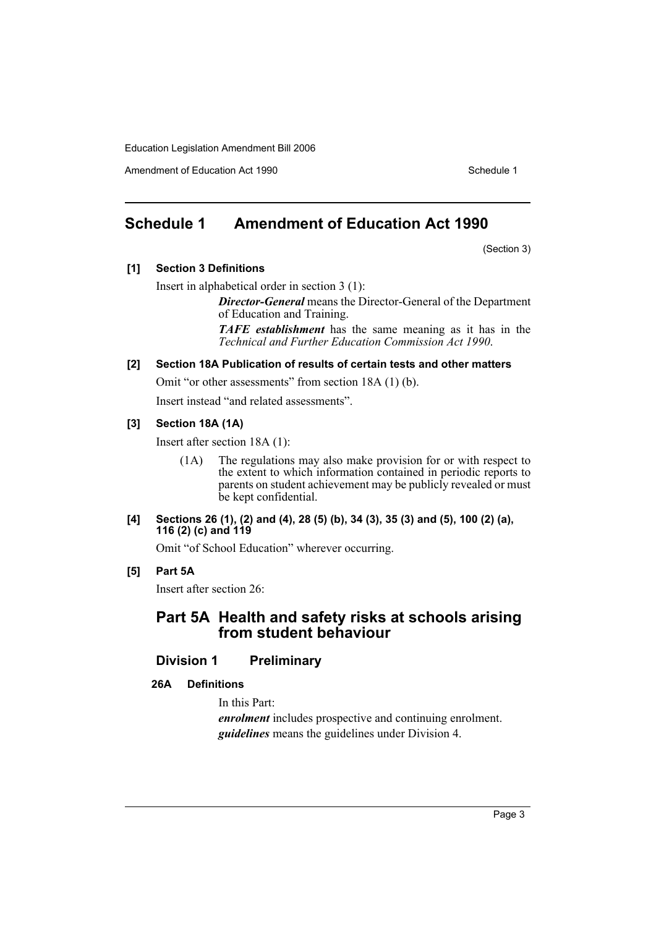Amendment of Education Act 1990 Schedule 1

# <span id="page-3-0"></span>**Schedule 1 Amendment of Education Act 1990**

(Section 3)

### **[1] Section 3 Definitions**

Insert in alphabetical order in section 3 (1):

*Director-General* means the Director-General of the Department of Education and Training.

*TAFE establishment* has the same meaning as it has in the *Technical and Further Education Commission Act 1990*.

#### **[2] Section 18A Publication of results of certain tests and other matters**

Omit "or other assessments" from section 18A (1) (b).

Insert instead "and related assessments".

## **[3] Section 18A (1A)**

Insert after section 18A (1):

(1A) The regulations may also make provision for or with respect to the extent to which information contained in periodic reports to parents on student achievement may be publicly revealed or must be kept confidential.

#### **[4] Sections 26 (1), (2) and (4), 28 (5) (b), 34 (3), 35 (3) and (5), 100 (2) (a), 116 (2) (c) and 119**

Omit "of School Education" wherever occurring.

## **[5] Part 5A**

Insert after section 26:

# **Part 5A Health and safety risks at schools arising from student behaviour**

# **Division 1 Preliminary**

**26A Definitions**

In this Part:

*enrolment* includes prospective and continuing enrolment. *guidelines* means the guidelines under Division 4.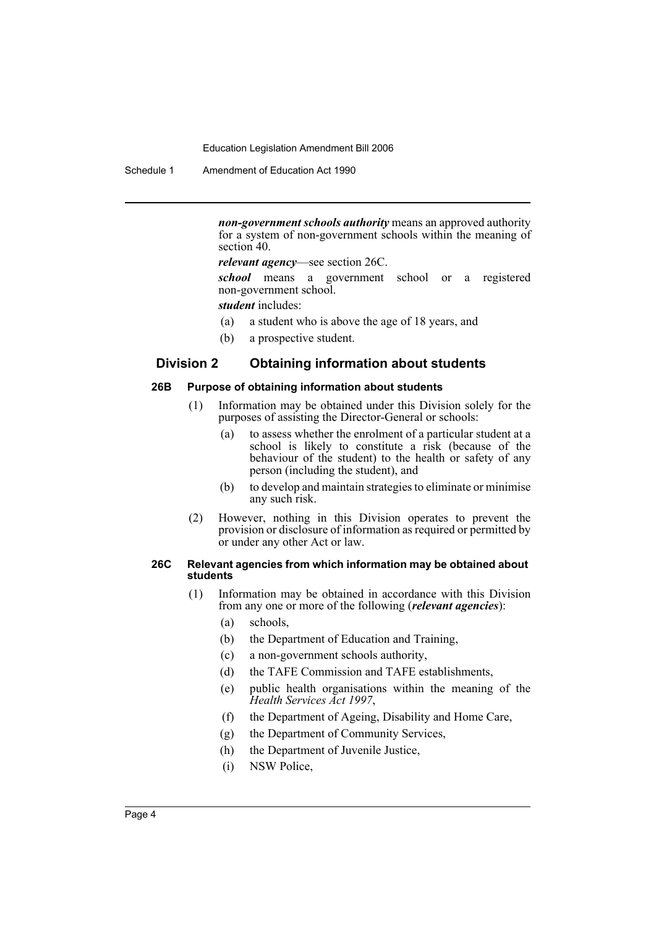Schedule 1 Amendment of Education Act 1990

*non-government schools authority* means an approved authority for a system of non-government schools within the meaning of section 40.

*relevant agency*—see section 26C.

*school* means a government school or a registered non-government school.

*student* includes:

- (a) a student who is above the age of 18 years, and
- (b) a prospective student.

## **Division 2 Obtaining information about students**

#### **26B Purpose of obtaining information about students**

- (1) Information may be obtained under this Division solely for the purposes of assisting the Director-General or schools:
	- (a) to assess whether the enrolment of a particular student at a school is likely to constitute a risk (because of the behaviour of the student) to the health or safety of any person (including the student), and
	- (b) to develop and maintain strategies to eliminate or minimise any such risk.
- (2) However, nothing in this Division operates to prevent the provision or disclosure of information as required or permitted by or under any other Act or law.

#### **26C Relevant agencies from which information may be obtained about students**

- (1) Information may be obtained in accordance with this Division from any one or more of the following (*relevant agencies*):
	- (a) schools,
	- (b) the Department of Education and Training,
	- (c) a non-government schools authority,
	- (d) the TAFE Commission and TAFE establishments,
	- (e) public health organisations within the meaning of the *Health Services Act 1997*,
	- (f) the Department of Ageing, Disability and Home Care,
	- (g) the Department of Community Services,
	- (h) the Department of Juvenile Justice,
	- (i) NSW Police,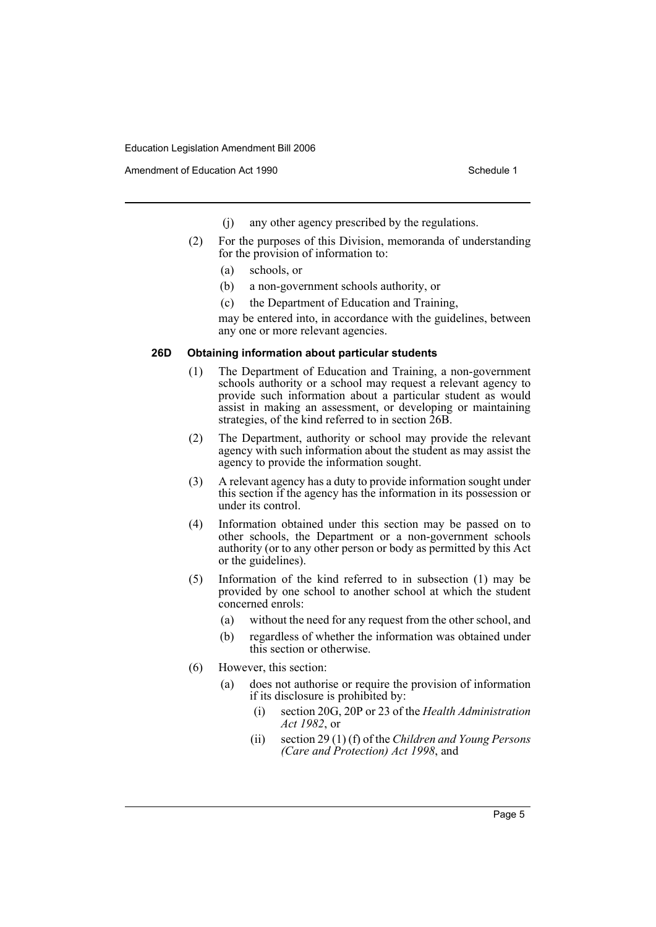- (j) any other agency prescribed by the regulations.
- (2) For the purposes of this Division, memoranda of understanding for the provision of information to:
	- (a) schools, or
	- (b) a non-government schools authority, or
	- (c) the Department of Education and Training,

may be entered into, in accordance with the guidelines, between any one or more relevant agencies.

#### **26D Obtaining information about particular students**

- (1) The Department of Education and Training, a non-government schools authority or a school may request a relevant agency to provide such information about a particular student as would assist in making an assessment, or developing or maintaining strategies, of the kind referred to in section 26B.
- (2) The Department, authority or school may provide the relevant agency with such information about the student as may assist the agency to provide the information sought.
- (3) A relevant agency has a duty to provide information sought under this section if the agency has the information in its possession or under its control.
- (4) Information obtained under this section may be passed on to other schools, the Department or a non-government schools authority (or to any other person or body as permitted by this Act or the guidelines).
- (5) Information of the kind referred to in subsection (1) may be provided by one school to another school at which the student concerned enrols:
	- (a) without the need for any request from the other school, and
	- (b) regardless of whether the information was obtained under this section or otherwise.
- (6) However, this section:
	- (a) does not authorise or require the provision of information if its disclosure is prohibited by:
		- (i) section 20G, 20P or 23 of the *Health Administration Act 1982*, or
		- (ii) section 29 (1) (f) of the *Children and Young Persons (Care and Protection) Act 1998*, and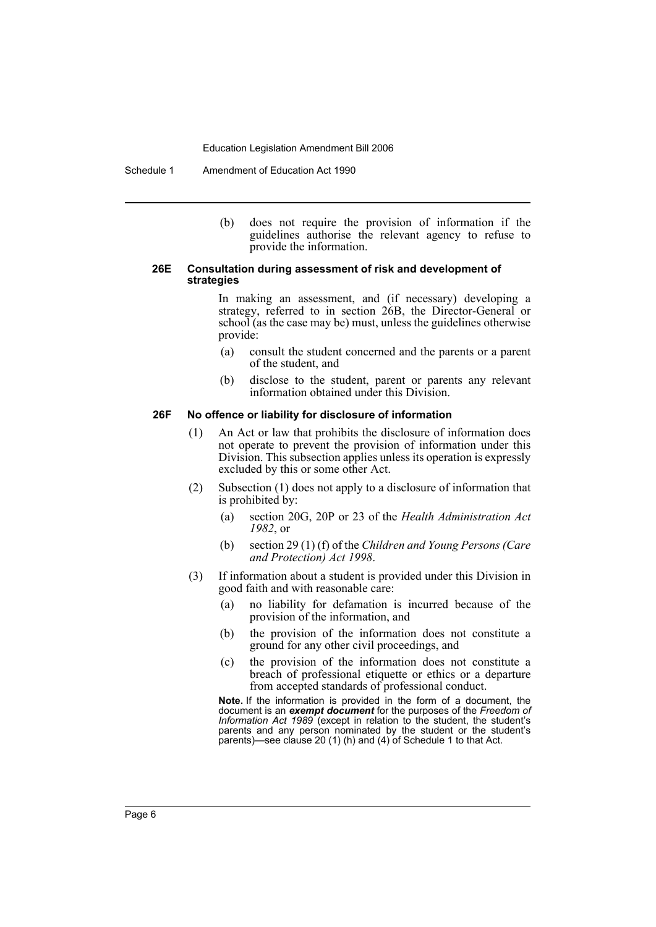Schedule 1 Amendment of Education Act 1990

(b) does not require the provision of information if the guidelines authorise the relevant agency to refuse to provide the information.

#### **26E Consultation during assessment of risk and development of strategies**

In making an assessment, and (if necessary) developing a strategy, referred to in section 26B, the Director-General or school (as the case may be) must, unless the guidelines otherwise provide:

- (a) consult the student concerned and the parents or a parent of the student, and
- (b) disclose to the student, parent or parents any relevant information obtained under this Division.

#### **26F No offence or liability for disclosure of information**

- (1) An Act or law that prohibits the disclosure of information does not operate to prevent the provision of information under this Division. This subsection applies unless its operation is expressly excluded by this or some other Act.
- (2) Subsection (1) does not apply to a disclosure of information that is prohibited by:
	- (a) section 20G, 20P or 23 of the *Health Administration Act 1982*, or
	- (b) section 29 (1) (f) of the *Children and Young Persons (Care and Protection) Act 1998*.
- (3) If information about a student is provided under this Division in good faith and with reasonable care:
	- (a) no liability for defamation is incurred because of the provision of the information, and
	- (b) the provision of the information does not constitute a ground for any other civil proceedings, and
	- (c) the provision of the information does not constitute a breach of professional etiquette or ethics or a departure from accepted standards of professional conduct.

**Note.** If the information is provided in the form of a document, the document is an *exempt document* for the purposes of the *Freedom of Information Act 1989* (except in relation to the student, the student's parents and any person nominated by the student or the student's parents)—see clause 20 (1) (h) and (4) of Schedule 1 to that Act.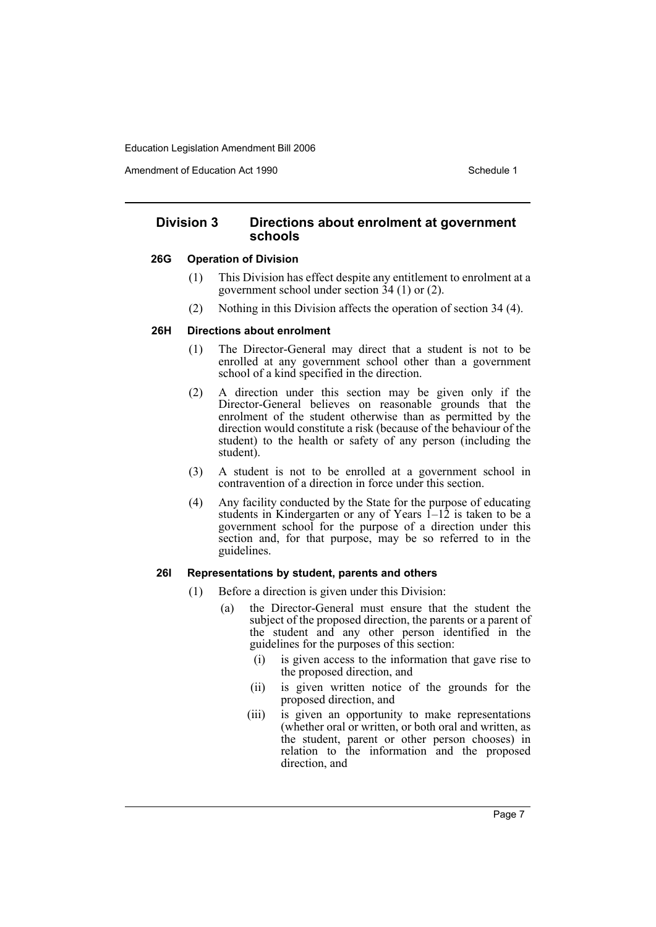Amendment of Education Act 1990 **Schedule 1** Schedule 1

# **Division 3 Directions about enrolment at government schools**

#### **26G Operation of Division**

- (1) This Division has effect despite any entitlement to enrolment at a government school under section 34 (1) or (2).
- (2) Nothing in this Division affects the operation of section 34 (4).

### **26H Directions about enrolment**

- (1) The Director-General may direct that a student is not to be enrolled at any government school other than a government school of a kind specified in the direction.
- (2) A direction under this section may be given only if the Director-General believes on reasonable grounds that the enrolment of the student otherwise than as permitted by the direction would constitute a risk (because of the behaviour of the student) to the health or safety of any person (including the student).
- (3) A student is not to be enrolled at a government school in contravention of a direction in force under this section.
- (4) Any facility conducted by the State for the purpose of educating students in Kindergarten or any of Years  $1-\overline{12}$  is taken to be a government school for the purpose of a direction under this section and, for that purpose, may be so referred to in the guidelines.

### **26I Representations by student, parents and others**

- (1) Before a direction is given under this Division:
	- (a) the Director-General must ensure that the student the subject of the proposed direction, the parents or a parent of the student and any other person identified in the guidelines for the purposes of this section:
		- (i) is given access to the information that gave rise to the proposed direction, and
		- (ii) is given written notice of the grounds for the proposed direction, and
		- (iii) is given an opportunity to make representations (whether oral or written, or both oral and written, as the student, parent or other person chooses) in relation to the information and the proposed direction, and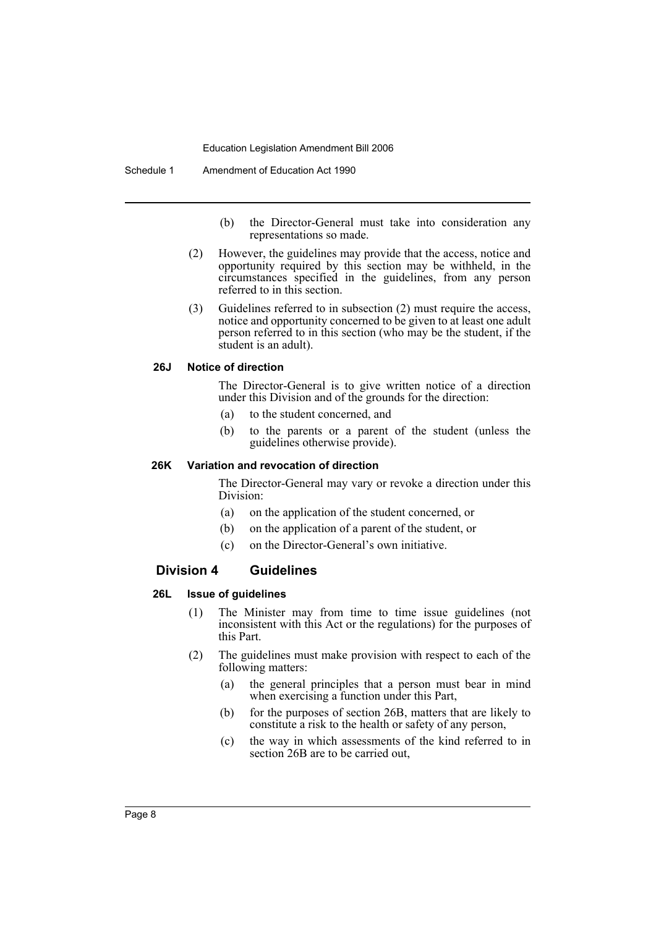- (b) the Director-General must take into consideration any representations so made.
- (2) However, the guidelines may provide that the access, notice and opportunity required by this section may be withheld, in the circumstances specified in the guidelines, from any person referred to in this section.
- (3) Guidelines referred to in subsection (2) must require the access, notice and opportunity concerned to be given to at least one adult person referred to in this section (who may be the student, if the student is an adult).

#### **26J Notice of direction**

The Director-General is to give written notice of a direction under this Division and of the grounds for the direction:

- (a) to the student concerned, and
- (b) to the parents or a parent of the student (unless the guidelines otherwise provide).

### **26K Variation and revocation of direction**

The Director-General may vary or revoke a direction under this Division:

- (a) on the application of the student concerned, or
- (b) on the application of a parent of the student, or
- (c) on the Director-General's own initiative.

#### **Division 4 Guidelines**

#### **26L Issue of guidelines**

- (1) The Minister may from time to time issue guidelines (not inconsistent with this Act or the regulations) for the purposes of this Part.
- (2) The guidelines must make provision with respect to each of the following matters:
	- (a) the general principles that a person must bear in mind when exercising a function under this Part,
	- (b) for the purposes of section 26B, matters that are likely to constitute a risk to the health or safety of any person,
	- (c) the way in which assessments of the kind referred to in section 26B are to be carried out,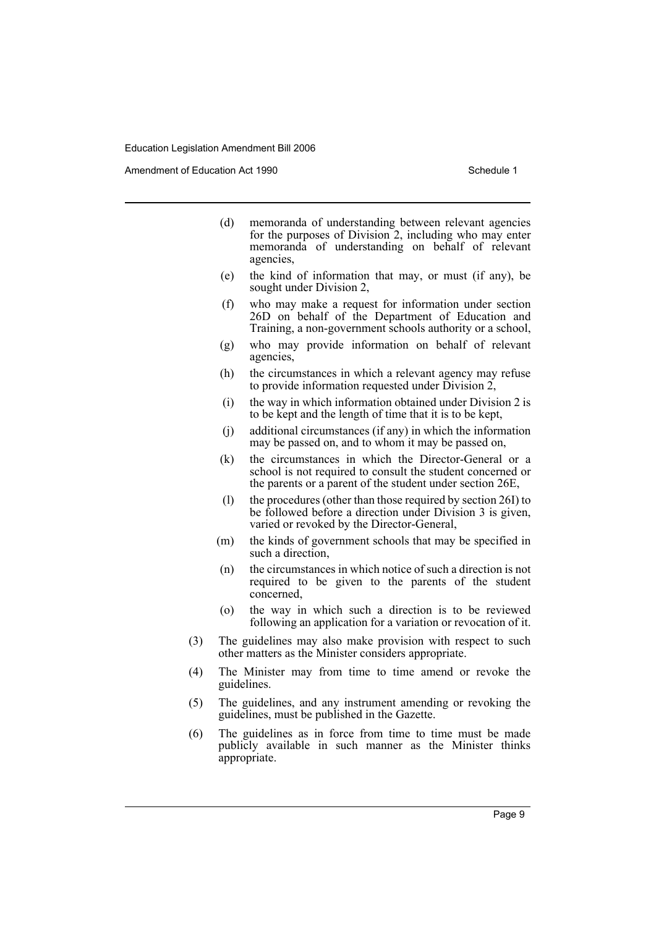Amendment of Education Act 1990 **Schedule 1** Schedule 1

- (d) memoranda of understanding between relevant agencies for the purposes of Division 2, including who may enter memoranda of understanding on behalf of relevant agencies,
- (e) the kind of information that may, or must (if any), be sought under Division 2,
- (f) who may make a request for information under section 26D on behalf of the Department of Education and Training, a non-government schools authority or a school,
- (g) who may provide information on behalf of relevant agencies,
- (h) the circumstances in which a relevant agency may refuse to provide information requested under Division 2,
- (i) the way in which information obtained under Division 2 is to be kept and the length of time that it is to be kept,
- (j) additional circumstances (if any) in which the information may be passed on, and to whom it may be passed on,
- (k) the circumstances in which the Director-General or a school is not required to consult the student concerned or the parents or a parent of the student under section 26E,
- (l) the procedures (other than those required by section 26I) to be followed before a direction under Division 3 is given, varied or revoked by the Director-General,
- (m) the kinds of government schools that may be specified in such a direction,
- (n) the circumstances in which notice of such a direction is not required to be given to the parents of the student concerned,
- (o) the way in which such a direction is to be reviewed following an application for a variation or revocation of it.
- (3) The guidelines may also make provision with respect to such other matters as the Minister considers appropriate.
- (4) The Minister may from time to time amend or revoke the guidelines.
- (5) The guidelines, and any instrument amending or revoking the guidelines, must be published in the Gazette.
- (6) The guidelines as in force from time to time must be made publicly available in such manner as the Minister thinks appropriate.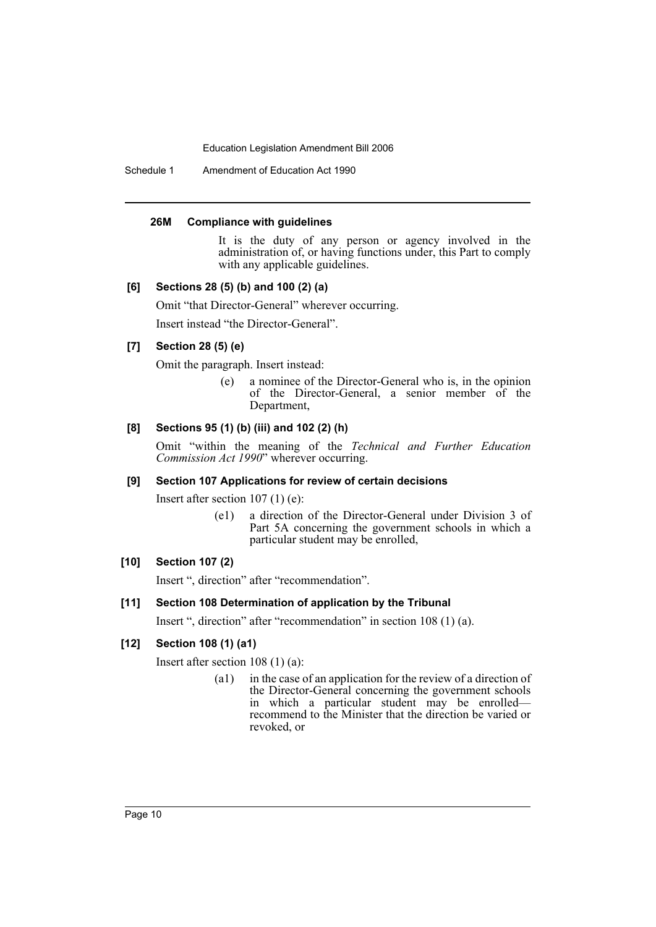Schedule 1 Amendment of Education Act 1990

#### **26M Compliance with guidelines**

It is the duty of any person or agency involved in the administration of, or having functions under, this Part to comply with any applicable guidelines.

#### **[6] Sections 28 (5) (b) and 100 (2) (a)**

Omit "that Director-General" wherever occurring.

Insert instead "the Director-General".

## **[7] Section 28 (5) (e)**

Omit the paragraph. Insert instead:

(e) a nominee of the Director-General who is, in the opinion of the Director-General, a senior member of the Department,

# **[8] Sections 95 (1) (b) (iii) and 102 (2) (h)**

Omit "within the meaning of the *Technical and Further Education Commission Act 1990*" wherever occurring.

#### **[9] Section 107 Applications for review of certain decisions**

Insert after section 107 (1) (e):

(e1) a direction of the Director-General under Division 3 of Part 5A concerning the government schools in which a particular student may be enrolled,

# **[10] Section 107 (2)**

Insert ", direction" after "recommendation".

#### **[11] Section 108 Determination of application by the Tribunal**

Insert ", direction" after "recommendation" in section 108 (1) (a).

### **[12] Section 108 (1) (a1)**

Insert after section 108 (1) (a):

(a1) in the case of an application for the review of a direction of the Director-General concerning the government schools in which a particular student may be enrolled recommend to the Minister that the direction be varied or revoked, or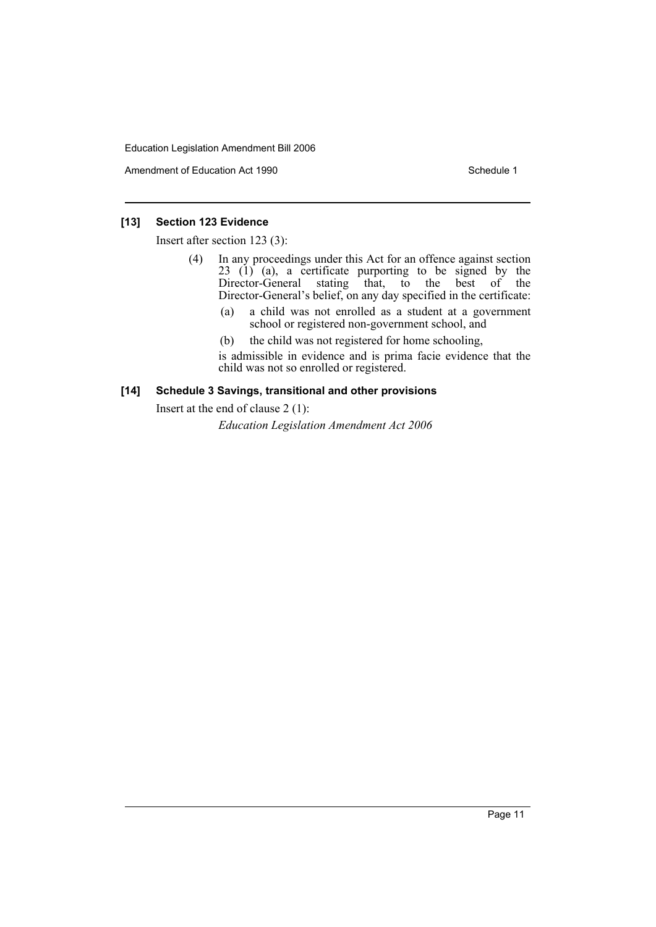Amendment of Education Act 1990 Schedule 1

## **[13] Section 123 Evidence**

Insert after section 123 (3):

- (4) In any proceedings under this Act for an offence against section  $23$  (1) (a), a certificate purporting to be signed by the Director-General stating that, to the best of the Director-General's belief, on any day specified in the certificate:
	- (a) a child was not enrolled as a student at a government school or registered non-government school, and
	- (b) the child was not registered for home schooling,

is admissible in evidence and is prima facie evidence that the child was not so enrolled or registered.

### **[14] Schedule 3 Savings, transitional and other provisions**

Insert at the end of clause 2 (1):

*Education Legislation Amendment Act 2006*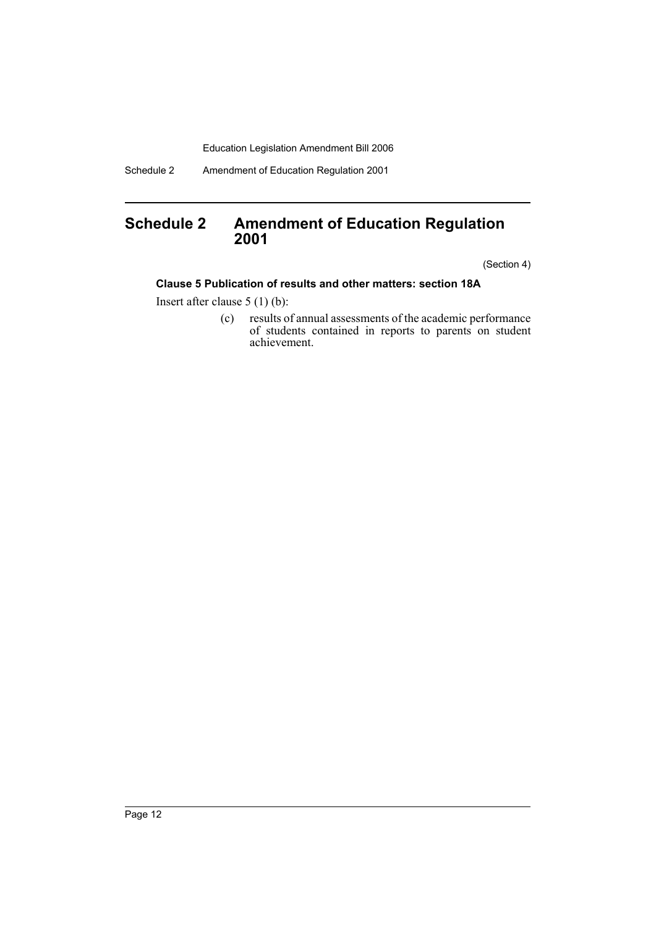Schedule 2 Amendment of Education Regulation 2001

# <span id="page-12-0"></span>**Schedule 2 Amendment of Education Regulation 2001**

(Section 4)

## **Clause 5 Publication of results and other matters: section 18A**

Insert after clause 5 (1) (b):

(c) results of annual assessments of the academic performance of students contained in reports to parents on student achievement.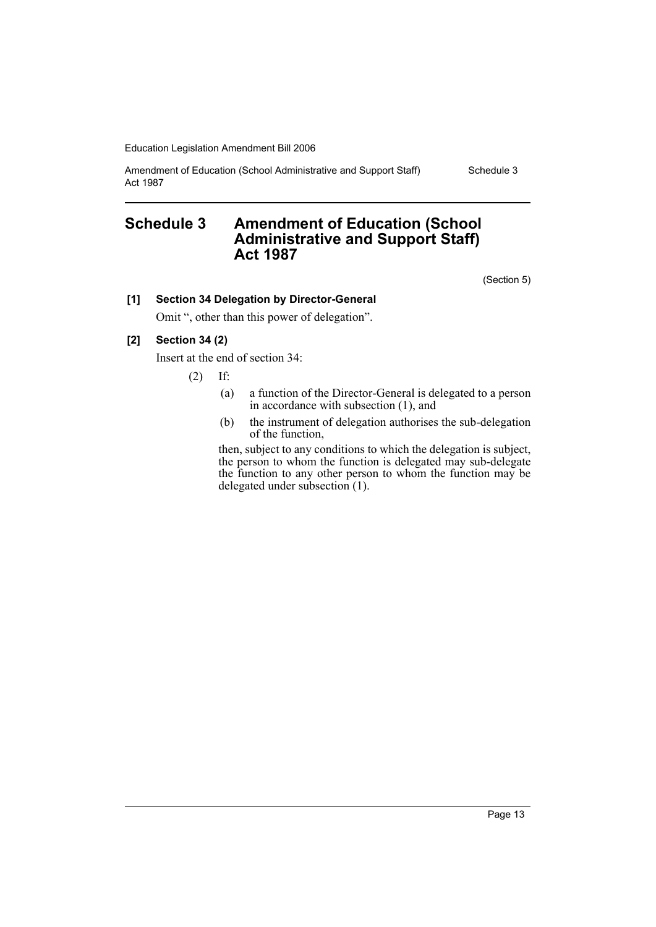Amendment of Education (School Administrative and Support Staff) Act 1987

Schedule 3

# <span id="page-13-0"></span>**Schedule 3 Amendment of Education (School Administrative and Support Staff) Act 1987**

(Section 5)

## **[1] Section 34 Delegation by Director-General**

Omit ", other than this power of delegation".

## **[2] Section 34 (2)**

Insert at the end of section 34:

(2) If:

- (a) a function of the Director-General is delegated to a person in accordance with subsection (1), and
- (b) the instrument of delegation authorises the sub-delegation of the function,

then, subject to any conditions to which the delegation is subject, the person to whom the function is delegated may sub-delegate the function to any other person to whom the function may be delegated under subsection (1).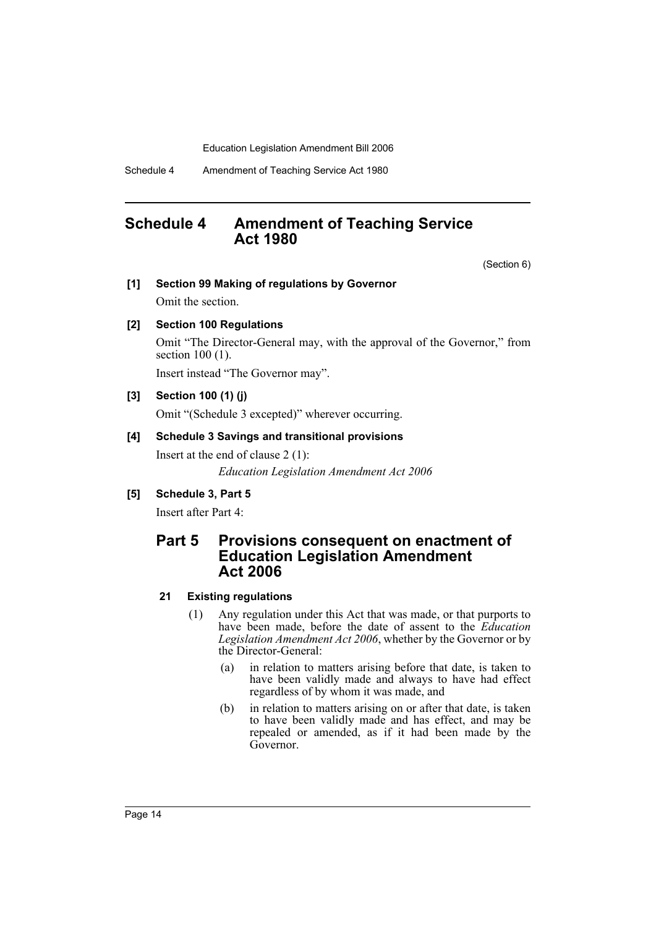Schedule 4 Amendment of Teaching Service Act 1980

# <span id="page-14-0"></span>**Schedule 4 Amendment of Teaching Service Act 1980**

(Section 6)

**[1] Section 99 Making of regulations by Governor**

Omit the section.

#### **[2] Section 100 Regulations**

Omit "The Director-General may, with the approval of the Governor," from section 100 (1).

Insert instead "The Governor may".

## **[3] Section 100 (1) (j)**

Omit "(Schedule 3 excepted)" wherever occurring.

#### **[4] Schedule 3 Savings and transitional provisions**

Insert at the end of clause 2 (1):

*Education Legislation Amendment Act 2006*

#### **[5] Schedule 3, Part 5**

Insert after Part 4:

# **Part 5 Provisions consequent on enactment of Education Legislation Amendment Act 2006**

#### **21 Existing regulations**

- (1) Any regulation under this Act that was made, or that purports to have been made, before the date of assent to the *Education Legislation Amendment Act 2006*, whether by the Governor or by the Director-General:
	- (a) in relation to matters arising before that date, is taken to have been validly made and always to have had effect regardless of by whom it was made, and
	- (b) in relation to matters arising on or after that date, is taken to have been validly made and has effect, and may be repealed or amended, as if it had been made by the Governor.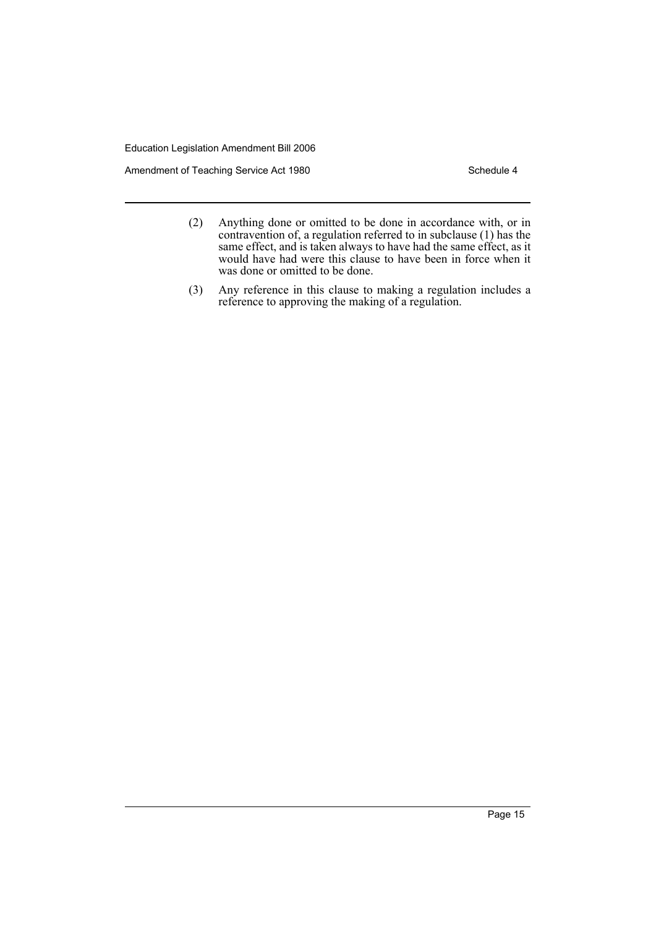Amendment of Teaching Service Act 1980 Schedule 4

- (2) Anything done or omitted to be done in accordance with, or in contravention of, a regulation referred to in subclause (1) has the same effect, and is taken always to have had the same effect, as it would have had were this clause to have been in force when it was done or omitted to be done.
- (3) Any reference in this clause to making a regulation includes a reference to approving the making of a regulation.